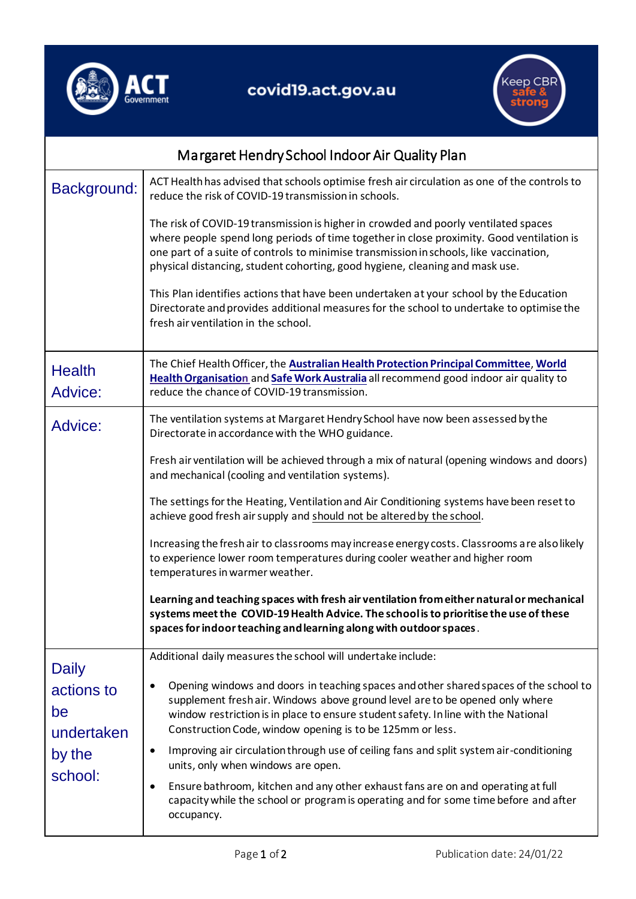

## covid19.act.gov.au



| Margaret Hendry School Indoor Air Quality Plan                      |                                                                                                                                                                                                                                                                                                                                                           |  |
|---------------------------------------------------------------------|-----------------------------------------------------------------------------------------------------------------------------------------------------------------------------------------------------------------------------------------------------------------------------------------------------------------------------------------------------------|--|
| Background:                                                         | ACT Health has advised that schools optimise fresh air circulation as one of the controls to<br>reduce the risk of COVID-19 transmission in schools.                                                                                                                                                                                                      |  |
|                                                                     | The risk of COVID-19 transmission is higher in crowded and poorly ventilated spaces<br>where people spend long periods of time together in close proximity. Good ventilation is<br>one part of a suite of controls to minimise transmission in schools, like vaccination,<br>physical distancing, student cohorting, good hygiene, cleaning and mask use. |  |
|                                                                     | This Plan identifies actions that have been undertaken at your school by the Education<br>Directorate and provides additional measures for the school to undertake to optimise the<br>fresh air ventilation in the school.                                                                                                                                |  |
| <b>Health</b><br>Advice:                                            | The Chief Health Officer, the Australian Health Protection Principal Committee, World<br>Health Organisation and Safe Work Australia all recommend good indoor air quality to<br>reduce the chance of COVID-19 transmission.                                                                                                                              |  |
| Advice:                                                             | The ventilation systems at Margaret Hendry School have now been assessed by the<br>Directorate in accordance with the WHO guidance.                                                                                                                                                                                                                       |  |
|                                                                     | Fresh air ventilation will be achieved through a mix of natural (opening windows and doors)<br>and mechanical (cooling and ventilation systems).                                                                                                                                                                                                          |  |
|                                                                     | The settings for the Heating, Ventilation and Air Conditioning systems have been reset to<br>achieve good fresh air supply and should not be altered by the school.                                                                                                                                                                                       |  |
|                                                                     | Increasing the fresh air to classrooms may increase energy costs. Classrooms are also likely<br>to experience lower room temperatures during cooler weather and higher room<br>temperatures in warmer weather.                                                                                                                                            |  |
|                                                                     | Learning and teaching spaces with fresh air ventilation from either natural or mechanical<br>systems meet the COVID-19 Health Advice. The school is to prioritise the use of these<br>spaces for indoor teaching and learning along with outdoor spaces.                                                                                                  |  |
| <b>Daily</b><br>actions to<br>be<br>undertaken<br>by the<br>school: | Additional daily measures the school will undertake include:                                                                                                                                                                                                                                                                                              |  |
|                                                                     | Opening windows and doors in teaching spaces and other shared spaces of the school to<br>٠<br>supplement fresh air. Windows above ground level are to be opened only where<br>window restriction is in place to ensure student safety. In line with the National<br>Construction Code, window opening is to be 125mm or less.                             |  |
|                                                                     | Improving air circulation through use of ceiling fans and split system air-conditioning<br>$\bullet$<br>units, only when windows are open.                                                                                                                                                                                                                |  |
|                                                                     | Ensure bathroom, kitchen and any other exhaust fans are on and operating at full<br>٠<br>capacity while the school or program is operating and for some time before and after<br>occupancy.                                                                                                                                                               |  |